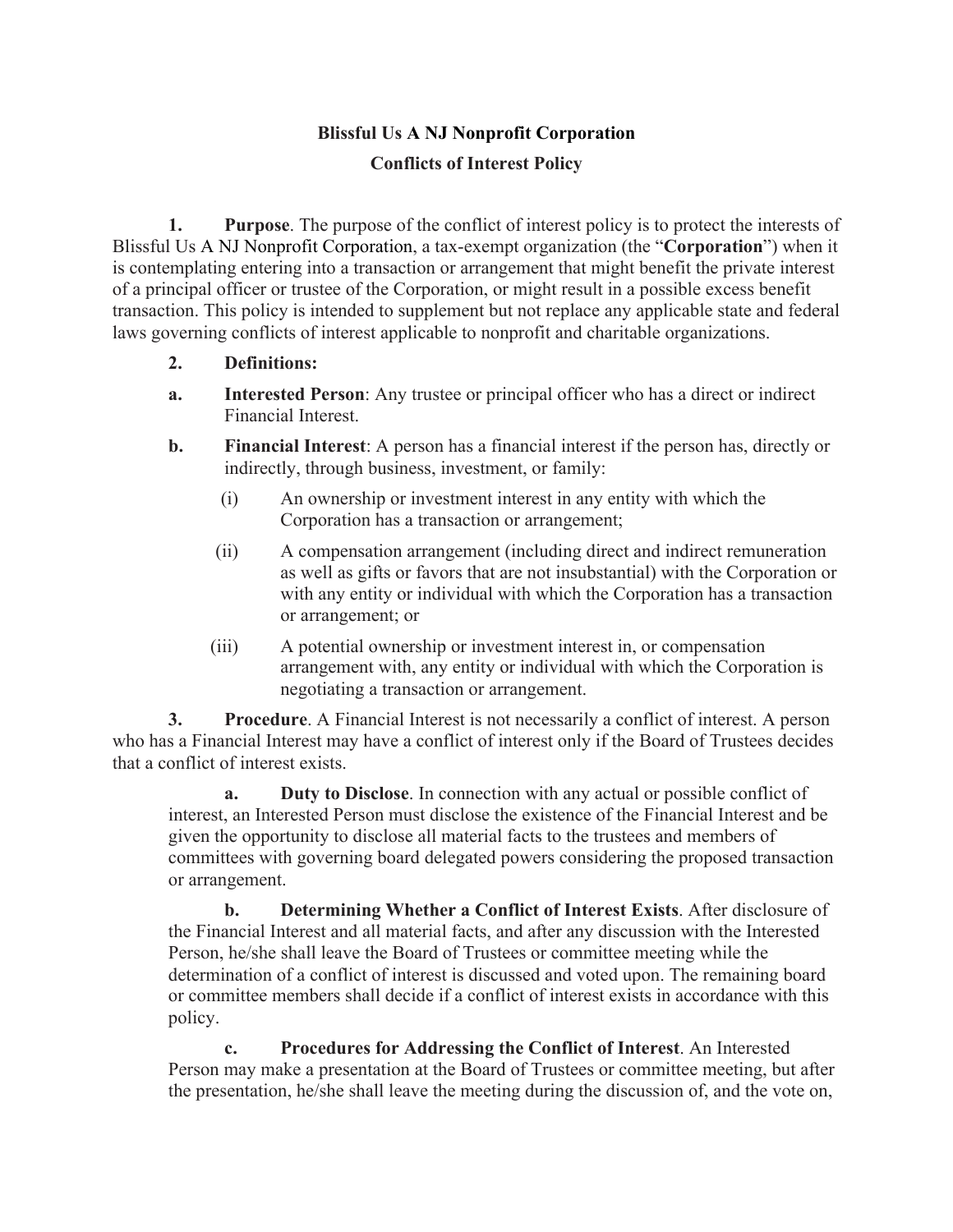## **Blissful Us A NJ Nonprofit Corporation Conflicts of Interest Policy**

**1. Purpose**. The purpose of the conflict of interest policy is to protect the interests of Blissful Us A NJ Nonprofit Corporation, a tax-exempt organization (the "**Corporation**") when it is contemplating entering into a transaction or arrangement that might benefit the private interest of a principal officer or trustee of the Corporation, or might result in a possible excess benefit transaction. This policy is intended to supplement but not replace any applicable state and federal laws governing conflicts of interest applicable to nonprofit and charitable organizations.

- **2. Definitions:**
- **a. Interested Person**: Any trustee or principal officer who has a direct or indirect Financial Interest.
- **b. Financial Interest**: A person has a financial interest if the person has, directly or indirectly, through business, investment, or family:
	- (i) An ownership or investment interest in any entity with which the Corporation has a transaction or arrangement;
	- (ii) A compensation arrangement (including direct and indirect remuneration as well as gifts or favors that are not insubstantial) with the Corporation or with any entity or individual with which the Corporation has a transaction or arrangement; or
	- (iii) A potential ownership or investment interest in, or compensation arrangement with, any entity or individual with which the Corporation is negotiating a transaction or arrangement.

**3. Procedure**. A Financial Interest is not necessarily a conflict of interest. A person who has a Financial Interest may have a conflict of interest only if the Board of Trustees decides that a conflict of interest exists.

**a. Duty to Disclose**. In connection with any actual or possible conflict of interest, an Interested Person must disclose the existence of the Financial Interest and be given the opportunity to disclose all material facts to the trustees and members of committees with governing board delegated powers considering the proposed transaction or arrangement.

**b. Determining Whether a Conflict of Interest Exists**. After disclosure of the Financial Interest and all material facts, and after any discussion with the Interested Person, he/she shall leave the Board of Trustees or committee meeting while the determination of a conflict of interest is discussed and voted upon. The remaining board or committee members shall decide if a conflict of interest exists in accordance with this policy.

**c. Procedures for Addressing the Conflict of Interest**. An Interested Person may make a presentation at the Board of Trustees or committee meeting, but after the presentation, he/she shall leave the meeting during the discussion of, and the vote on,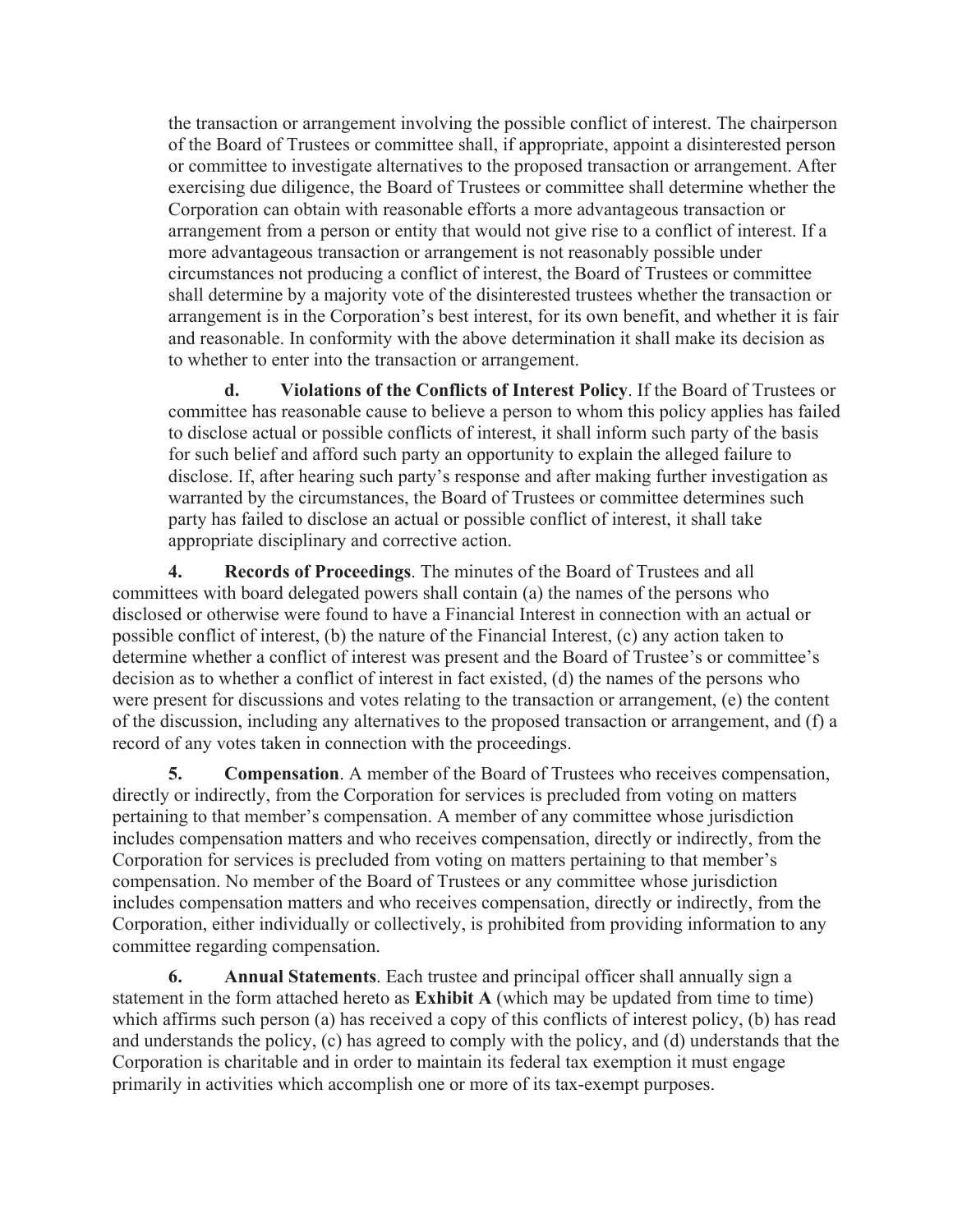the transaction or arrangement involving the possible conflict of interest. The chairperson of the Board of Trustees or committee shall, if appropriate, appoint a disinterested person or committee to investigate alternatives to the proposed transaction or arrangement. After exercising due diligence, the Board of Trustees or committee shall determine whether the Corporation can obtain with reasonable efforts a more advantageous transaction or arrangement from a person or entity that would not give rise to a conflict of interest. If a more advantageous transaction or arrangement is not reasonably possible under circumstances not producing a conflict of interest, the Board of Trustees or committee shall determine by a majority vote of the disinterested trustees whether the transaction or arrangement is in the Corporation's best interest, for its own benefit, and whether it is fair and reasonable. In conformity with the above determination it shall make its decision as to whether to enter into the transaction or arrangement.

**d. Violations of the Conflicts of Interest Policy**. If the Board of Trustees or committee has reasonable cause to believe a person to whom this policy applies has failed to disclose actual or possible conflicts of interest, it shall inform such party of the basis for such belief and afford such party an opportunity to explain the alleged failure to disclose. If, after hearing such party's response and after making further investigation as warranted by the circumstances, the Board of Trustees or committee determines such party has failed to disclose an actual or possible conflict of interest, it shall take appropriate disciplinary and corrective action.

**4. Records of Proceedings**. The minutes of the Board of Trustees and all committees with board delegated powers shall contain (a) the names of the persons who disclosed or otherwise were found to have a Financial Interest in connection with an actual or possible conflict of interest, (b) the nature of the Financial Interest, (c) any action taken to determine whether a conflict of interest was present and the Board of Trustee's or committee's decision as to whether a conflict of interest in fact existed, (d) the names of the persons who were present for discussions and votes relating to the transaction or arrangement, (e) the content of the discussion, including any alternatives to the proposed transaction or arrangement, and (f) a record of any votes taken in connection with the proceedings.

**5. Compensation**. A member of the Board of Trustees who receives compensation, directly or indirectly, from the Corporation for services is precluded from voting on matters pertaining to that member's compensation. A member of any committee whose jurisdiction includes compensation matters and who receives compensation, directly or indirectly, from the Corporation for services is precluded from voting on matters pertaining to that member's compensation. No member of the Board of Trustees or any committee whose jurisdiction includes compensation matters and who receives compensation, directly or indirectly, from the Corporation, either individually or collectively, is prohibited from providing information to any committee regarding compensation.

**6. Annual Statements**. Each trustee and principal officer shall annually sign a statement in the form attached hereto as **Exhibit A** (which may be updated from time to time) which affirms such person (a) has received a copy of this conflicts of interest policy, (b) has read and understands the policy, (c) has agreed to comply with the policy, and (d) understands that the Corporation is charitable and in order to maintain its federal tax exemption it must engage primarily in activities which accomplish one or more of its tax-exempt purposes.